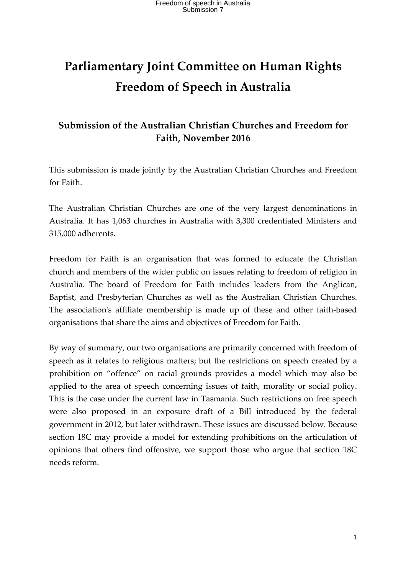# **Parliamentary Joint Committee on Human Rights Freedom of Speech in Australia**

### **Submission of the Australian Christian Churches and Freedom for Faith, November 2016**

This submission is made jointly by the Australian Christian Churches and Freedom for Faith.

The Australian Christian Churches are one of the very largest denominations in Australia. It has 1,063 churches in Australia with 3,300 credentialed Ministers and 315,000 adherents.

Freedom for Faith is an organisation that was formed to educate the Christian church and members of the wider public on issues relating to freedom of religion in Australia. The board of Freedom for Faith includes leaders from the Anglican, Baptist, and Presbyterian Churches as well as the Australian Christian Churches. The association's affiliate membership is made up of these and other faith-based organisations that share the aims and objectives of Freedom for Faith.

By way of summary, our two organisations are primarily concerned with freedom of speech as it relates to religious matters; but the restrictions on speech created by a prohibition on "offence" on racial grounds provides a model which may also be applied to the area of speech concerning issues of faith, morality or social policy. This is the case under the current law in Tasmania. Such restrictions on free speech were also proposed in an exposure draft of a Bill introduced by the federal government in 2012, but later withdrawn. These issues are discussed below. Because section 18C may provide a model for extending prohibitions on the articulation of opinions that others find offensive, we support those who argue that section 18C needs reform.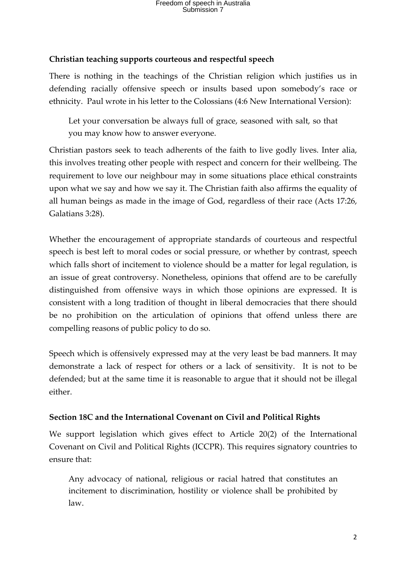#### **Christian teaching supports courteous and respectful speech**

There is nothing in the teachings of the Christian religion which justifies us in defending racially offensive speech or insults based upon somebody's race or ethnicity. Paul wrote in his letter to the Colossians (4:6 New International Version):

Let your conversation be always full of grace, seasoned with salt, so that you may know how to answer everyone.

Christian pastors seek to teach adherents of the faith to live godly lives. Inter alia, this involves treating other people with respect and concern for their wellbeing. The requirement to love our neighbour may in some situations place ethical constraints upon what we say and how we say it. The Christian faith also affirms the equality of all human beings as made in the image of God, regardless of their race (Acts 17:26, Galatians 3:28).

Whether the encouragement of appropriate standards of courteous and respectful speech is best left to moral codes or social pressure, or whether by contrast, speech which falls short of incitement to violence should be a matter for legal regulation, is an issue of great controversy. Nonetheless, opinions that offend are to be carefully distinguished from offensive ways in which those opinions are expressed. It is consistent with a long tradition of thought in liberal democracies that there should be no prohibition on the articulation of opinions that offend unless there are compelling reasons of public policy to do so.

Speech which is offensively expressed may at the very least be bad manners. It may demonstrate a lack of respect for others or a lack of sensitivity. It is not to be defended; but at the same time it is reasonable to argue that it should not be illegal either.

#### **Section 18C and the International Covenant on Civil and Political Rights**

We support legislation which gives effect to Article 20(2) of the International Covenant on Civil and Political Rights (ICCPR). This requires signatory countries to ensure that:

Any advocacy of national, religious or racial hatred that constitutes an incitement to discrimination, hostility or violence shall be prohibited by law.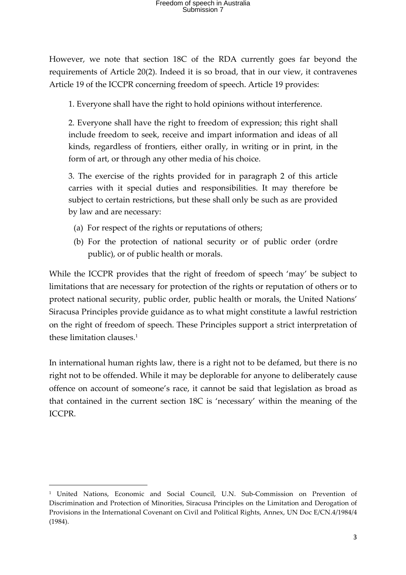However, we note that section 18C of the RDA currently goes far beyond the requirements of Article 20(2). Indeed it is so broad, that in our view, it contravenes Article 19 of the ICCPR concerning freedom of speech. Article 19 provides:

1. Everyone shall have the right to hold opinions without interference.

2. Everyone shall have the right to freedom of expression; this right shall include freedom to seek, receive and impart information and ideas of all kinds, regardless of frontiers, either orally, in writing or in print, in the form of art, or through any other media of his choice.

3. The exercise of the rights provided for in paragraph 2 of this article carries with it special duties and responsibilities. It may therefore be subject to certain restrictions, but these shall only be such as are provided by law and are necessary:

- (a) For respect of the rights or reputations of others;
- (b) For the protection of national security or of public order (ordre public), or of public health or morals.

While the ICCPR provides that the right of freedom of speech 'may' be subject to limitations that are necessary for protection of the rights or reputation of others or to protect national security, public order, public health or morals, the United Nations' Siracusa Principles provide guidance as to what might constitute a lawful restriction on the right of freedom of speech. These Principles support a strict interpretation of these limitation clauses.1

In international human rights law, there is a right not to be defamed, but there is no right not to be offended. While it may be deplorable for anyone to deliberately cause offence on account of someone's race, it cannot be said that legislation as broad as that contained in the current section 18C is 'necessary' within the meaning of the ICCPR.

<u> 1989 - Jan Samuel Barbara, margaret e</u>

<sup>1</sup> United Nations, Economic and Social Council, U.N. Sub-Commission on Prevention of Discrimination and Protection of Minorities, Siracusa Principles on the Limitation and Derogation of Provisions in the International Covenant on Civil and Political Rights, Annex, UN Doc E/CN.4/1984/4 (1984).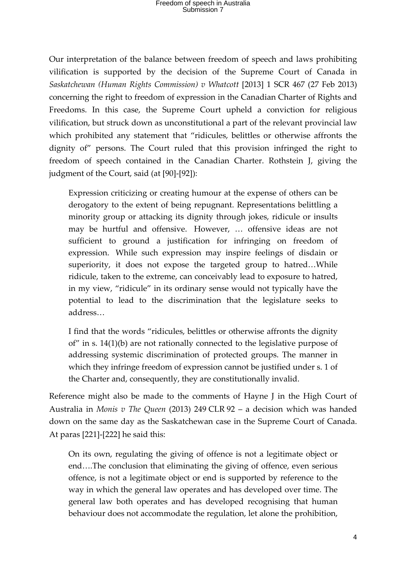Our interpretation of the balance between freedom of speech and laws prohibiting vilification is supported by the decision of the Supreme Court of Canada in *Saskatchewan (Human Rights Commission) v Whatcott* [2013] 1 SCR 467 (27 Feb 2013) concerning the right to freedom of expression in the Canadian Charter of Rights and Freedoms. In this case, the Supreme Court upheld a conviction for religious vilification, but struck down as unconstitutional a part of the relevant provincial law which prohibited any statement that "ridicules, belittles or otherwise affronts the dignity of" persons. The Court ruled that this provision infringed the right to freedom of speech contained in the Canadian Charter. Rothstein J, giving the judgment of the Court, said (at [90]-[92]):

Expression criticizing or creating humour at the expense of others can be derogatory to the extent of being repugnant. Representations belittling a minority group or attacking its dignity through jokes, ridicule or insults may be hurtful and offensive. However, … offensive ideas are not sufficient to ground a justification for infringing on freedom of expression. While such expression may inspire feelings of disdain or superiority, it does not expose the targeted group to hatred…While ridicule, taken to the extreme, can conceivably lead to exposure to hatred, in my view, "ridicule" in its ordinary sense would not typically have the potential to lead to the discrimination that the legislature seeks to address…

I find that the words "ridicules, belittles or otherwise affronts the dignity of" in s. 14(1)(b) are not rationally connected to the legislative purpose of addressing systemic discrimination of protected groups. The manner in which they infringe freedom of expression cannot be justified under s. 1 of the Charter and, consequently, they are constitutionally invalid.

Reference might also be made to the comments of Hayne J in the High Court of Australia in *Monis v The Queen* (2013) 249 CLR 92 – a decision which was handed down on the same day as the Saskatchewan case in the Supreme Court of Canada. At paras [221]-[222] he said this:

On its own, regulating the giving of offence is not a legitimate object or end….The conclusion that eliminating the giving of offence, even serious offence, is not a legitimate object or end is supported by reference to the way in which the general law operates and has developed over time. The general law both operates and has developed recognising that human behaviour does not accommodate the regulation, let alone the prohibition,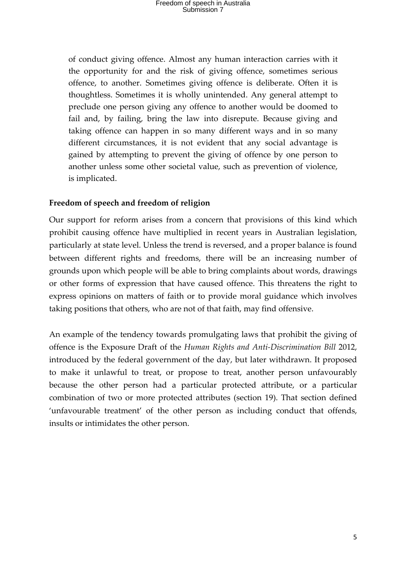of conduct giving offence. Almost any human interaction carries with it the opportunity for and the risk of giving offence, sometimes serious offence, to another. Sometimes giving offence is deliberate. Often it is thoughtless. Sometimes it is wholly unintended. Any general attempt to preclude one person giving any offence to another would be doomed to fail and, by failing, bring the law into disrepute. Because giving and taking offence can happen in so many different ways and in so many different circumstances, it is not evident that any social advantage is gained by attempting to prevent the giving of offence by one person to another unless some other societal value, such as prevention of violence, is implicated.

#### **Freedom of speech and freedom of religion**

Our support for reform arises from a concern that provisions of this kind which prohibit causing offence have multiplied in recent years in Australian legislation, particularly at state level. Unless the trend is reversed, and a proper balance is found between different rights and freedoms, there will be an increasing number of grounds upon which people will be able to bring complaints about words, drawings or other forms of expression that have caused offence. This threatens the right to express opinions on matters of faith or to provide moral guidance which involves taking positions that others, who are not of that faith, may find offensive.

An example of the tendency towards promulgating laws that prohibit the giving of offence is the Exposure Draft of the *Human Rights and Anti-Discrimination Bill* 2012, introduced by the federal government of the day, but later withdrawn. It proposed to make it unlawful to treat, or propose to treat, another person unfavourably because the other person had a particular protected attribute, or a particular combination of two or more protected attributes (section 19). That section defined 'unfavourable treatment' of the other person as including conduct that offends, insults or intimidates the other person.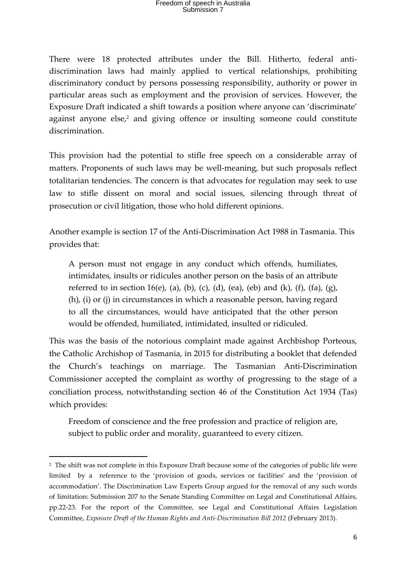There were 18 protected attributes under the Bill. Hitherto, federal antidiscrimination laws had mainly applied to vertical relationships, prohibiting discriminatory conduct by persons possessing responsibility, authority or power in particular areas such as employment and the provision of services. However, the Exposure Draft indicated a shift towards a position where anyone can 'discriminate' against anyone else, <sup>2</sup> and giving offence or insulting someone could constitute discrimination.

This provision had the potential to stifle free speech on a considerable array of matters. Proponents of such laws may be well-meaning, but such proposals reflect totalitarian tendencies. The concern is that advocates for regulation may seek to use law to stifle dissent on moral and social issues, silencing through threat of prosecution or civil litigation, those who hold different opinions.

Another example is section 17 of the Anti-Discrimination Act 1988 in Tasmania. This provides that:

A person must not engage in any conduct which offends, humiliates, intimidates, insults or ridicules another person on the basis of an attribute referred to in section 16(e), (a), (b), (c), (d), (ea), (eb) and (k), (f), (fa), (g), (h), (i) or (j) in circumstances in which a reasonable person, having regard to all the circumstances, would have anticipated that the other person would be offended, humiliated, intimidated, insulted or ridiculed.

This was the basis of the notorious complaint made against Archbishop Porteous, the Catholic Archishop of Tasmania, in 2015 for distributing a booklet that defended the Church's teachings on marriage. The Tasmanian Anti-Discrimination Commissioner accepted the complaint as worthy of progressing to the stage of a conciliation process, notwithstanding section 46 of the Constitution Act 1934 (Tas) which provides:

Freedom of conscience and the free profession and practice of religion are, subject to public order and morality, guaranteed to every citizen.

<u> 1989 - Jan Samuel Barbara, margaret e</u>

<sup>2</sup> The shift was not complete in this Exposure Draft because some of the categories of public life were limited by a reference to the 'provision of goods, services or facilities' and the 'provision of accommodation'. The Discrimination Law Experts Group argued for the removal of any such words of limitation: Submission 207 to the Senate Standing Committee on Legal and Constitutional Affairs, pp.22-23. For the report of the Committee, see Legal and Constitutional Affairs Legislation Committee, *Exposure Draft of the Human Rights and Anti-Discrimination Bill 2012* (February 2013).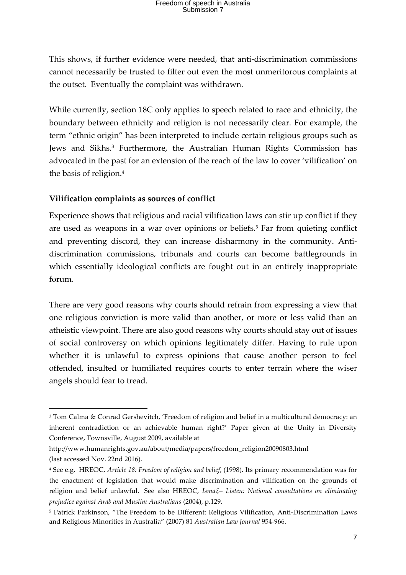## Freedom of speech in Australia Submission 7

This shows, if further evidence were needed, that anti-discrimination commissions cannot necessarily be trusted to filter out even the most unmeritorous complaints at the outset. Eventually the complaint was withdrawn.

While currently, section 18C only applies to speech related to race and ethnicity, the boundary between ethnicity and religion is not necessarily clear. For example, the term "ethnic origin" has been interpreted to include certain religious groups such as Jews and Sikhs.<sup>3</sup> Furthermore, the Australian Human Rights Commission has advocated in the past for an extension of the reach of the law to cover 'vilification' on the basis of religion.4

#### **Vilification complaints as sources of conflict**

<u> 1989 - Jan Samuel Barbara, margaret e</u>

Experience shows that religious and racial vilification laws can stir up conflict if they are used as weapons in a war over opinions or beliefs.5 Far from quieting conflict and preventing discord, they can increase disharmony in the community. Antidiscrimination commissions, tribunals and courts can become battlegrounds in which essentially ideological conflicts are fought out in an entirely inappropriate forum.

There are very good reasons why courts should refrain from expressing a view that one religious conviction is more valid than another, or more or less valid than an atheistic viewpoint. There are also good reasons why courts should stay out of issues of social controversy on which opinions legitimately differ. Having to rule upon whether it is unlawful to express opinions that cause another person to feel offended, insulted or humiliated requires courts to enter terrain where the wiser angels should fear to tread.

<sup>3</sup> Tom Calma & Conrad Gershevitch, 'Freedom of religion and belief in a multicultural democracy: an inherent contradiction or an achievable human right?' Paper given at the Unity in Diversity Conference, Townsville, August 2009, available at

http://www.humanrights.gov.au/about/media/papers/freedom\_religion20090803.html (last accessed Nov. 22nd 2016).

<sup>4</sup> See e.g. HREOC, *Article 18: Freedom of religion and belief*, (1998). Its primary recommendation was for the enactment of legislation that would make discrimination and vilification on the grounds of religion and belief unlawful. See also HREOC, *Ismaξ– Listen: National consultations on eliminating prejudice against Arab and Muslim Australians* (2004), p.129.

<sup>5</sup> Patrick Parkinson, "The Freedom to be Different: Religious Vilification, Anti-Discrimination Laws and Religious Minorities in Australia" (2007) 81 *Australian Law Journal* 954-966.